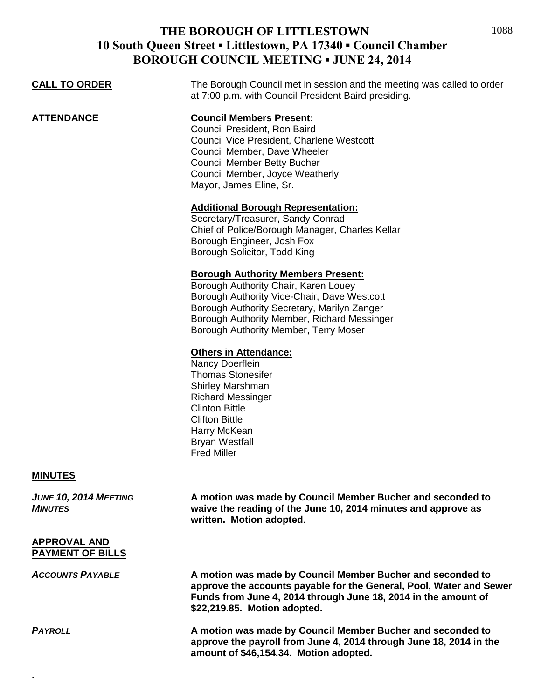| <b>CALL TO ORDER</b>                           | The Borough Council met in session and the meeting was called to order<br>at 7:00 p.m. with Council President Baird presiding.                                                                                                                                          |
|------------------------------------------------|-------------------------------------------------------------------------------------------------------------------------------------------------------------------------------------------------------------------------------------------------------------------------|
| <b>ATTENDANCE</b>                              | <b>Council Members Present:</b><br>Council President, Ron Baird<br>Council Vice President, Charlene Westcott<br>Council Member, Dave Wheeler<br><b>Council Member Betty Bucher</b><br>Council Member, Joyce Weatherly<br>Mayor, James Eline, Sr.                        |
|                                                | <b>Additional Borough Representation:</b><br>Secretary/Treasurer, Sandy Conrad<br>Chief of Police/Borough Manager, Charles Kellar<br>Borough Engineer, Josh Fox<br>Borough Solicitor, Todd King                                                                         |
|                                                | <b>Borough Authority Members Present:</b><br>Borough Authority Chair, Karen Louey<br>Borough Authority Vice-Chair, Dave Westcott<br>Borough Authority Secretary, Marilyn Zanger<br>Borough Authority Member, Richard Messinger<br>Borough Authority Member, Terry Moser |
|                                                | <b>Others in Attendance:</b><br>Nancy Doerflein<br><b>Thomas Stonesifer</b><br>Shirley Marshman<br><b>Richard Messinger</b><br><b>Clinton Bittle</b><br><b>Clifton Bittle</b><br>Harry McKean<br><b>Bryan Westfall</b><br><b>Fred Miller</b>                            |
| <b>MINUTES</b>                                 |                                                                                                                                                                                                                                                                         |
| JUNE 10, 2014 MEETING<br><b>MINUTES</b>        | A motion was made by Council Member Bucher and seconded to<br>waive the reading of the June 10, 2014 minutes and approve as<br>written. Motion adopted.                                                                                                                 |
| <b>APPROVAL AND</b><br><b>PAYMENT OF BILLS</b> |                                                                                                                                                                                                                                                                         |
| <b>ACCOUNTS PAYABLE</b>                        | A motion was made by Council Member Bucher and seconded to<br>approve the accounts payable for the General, Pool, Water and Sewer<br>Funds from June 4, 2014 through June 18, 2014 in the amount of<br>\$22,219.85. Motion adopted.                                     |
| <b>PAYROLL</b>                                 | A motion was made by Council Member Bucher and seconded to<br>approve the payroll from June 4, 2014 through June 18, 2014 in the<br>amount of \$46,154.34. Motion adopted.                                                                                              |
|                                                |                                                                                                                                                                                                                                                                         |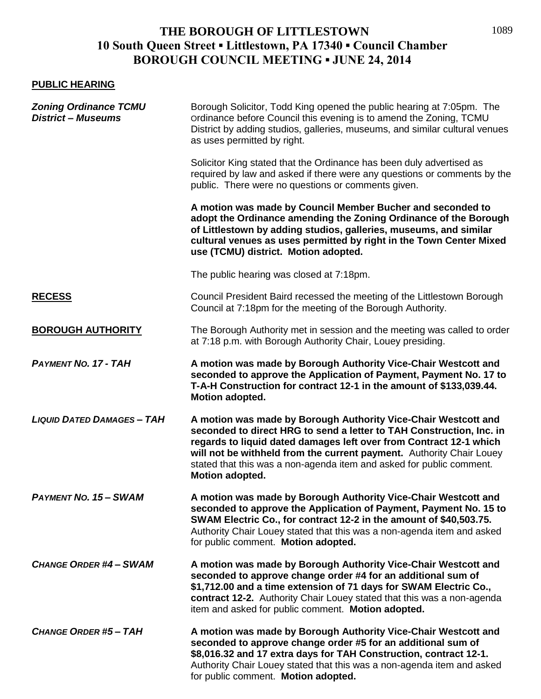### **PUBLIC HEARING**

| <b>Zoning Ordinance TCMU</b><br><b>District - Museums</b> | Borough Solicitor, Todd King opened the public hearing at 7:05pm. The<br>Ordinance before Council this evening is to amend the Zoning, TCMU<br>District by adding studios, galleries, museums, and similar cultural venues<br>as uses permitted by right.                                                                                                                              |
|-----------------------------------------------------------|----------------------------------------------------------------------------------------------------------------------------------------------------------------------------------------------------------------------------------------------------------------------------------------------------------------------------------------------------------------------------------------|
|                                                           | Solicitor King stated that the Ordinance has been duly advertised as<br>required by law and asked if there were any questions or comments by the<br>public. There were no questions or comments given.                                                                                                                                                                                 |
|                                                           | A motion was made by Council Member Bucher and seconded to<br>adopt the Ordinance amending the Zoning Ordinance of the Borough<br>of Littlestown by adding studios, galleries, museums, and similar<br>cultural venues as uses permitted by right in the Town Center Mixed<br>use (TCMU) district. Motion adopted.                                                                     |
|                                                           | The public hearing was closed at 7:18pm.                                                                                                                                                                                                                                                                                                                                               |
| <b>RECESS</b>                                             | Council President Baird recessed the meeting of the Littlestown Borough<br>Council at 7:18pm for the meeting of the Borough Authority.                                                                                                                                                                                                                                                 |
| <b>BOROUGH AUTHORITY</b>                                  | The Borough Authority met in session and the meeting was called to order<br>at 7:18 p.m. with Borough Authority Chair, Louey presiding.                                                                                                                                                                                                                                                |
| <b>PAYMENT NO. 17 - TAH</b>                               | A motion was made by Borough Authority Vice-Chair Westcott and<br>seconded to approve the Application of Payment, Payment No. 17 to<br>T-A-H Construction for contract 12-1 in the amount of \$133,039.44.<br>Motion adopted.                                                                                                                                                          |
| <b>LIQUID DATED DAMAGES - TAH</b>                         | A motion was made by Borough Authority Vice-Chair Westcott and<br>seconded to direct HRG to send a letter to TAH Construction, Inc. in<br>regards to liquid dated damages left over from Contract 12-1 which<br>will not be withheld from the current payment. Authority Chair Louey<br>stated that this was a non-agenda item and asked for public comment.<br><b>Motion adopted.</b> |
| <b>PAYMENT NO. 15 - SWAM</b>                              | A motion was made by Borough Authority Vice-Chair Westcott and<br>seconded to approve the Application of Payment, Payment No. 15 to<br>SWAM Electric Co., for contract 12-2 in the amount of \$40,503.75.<br>Authority Chair Louey stated that this was a non-agenda item and asked<br>for public comment. Motion adopted.                                                             |
| <b>CHANGE ORDER #4 - SWAM</b>                             | A motion was made by Borough Authority Vice-Chair Westcott and<br>seconded to approve change order #4 for an additional sum of<br>\$1,712.00 and a time extension of 71 days for SWAM Electric Co.,<br>contract 12-2. Authority Chair Louey stated that this was a non-agenda<br>item and asked for public comment. Motion adopted.                                                    |
| <b>CHANGE ORDER #5-TAH</b>                                | A motion was made by Borough Authority Vice-Chair Westcott and<br>seconded to approve change order #5 for an additional sum of<br>\$8,016.32 and 17 extra days for TAH Construction, contract 12-1.<br>Authority Chair Louey stated that this was a non-agenda item and asked<br>for public comment. Motion adopted.                                                                   |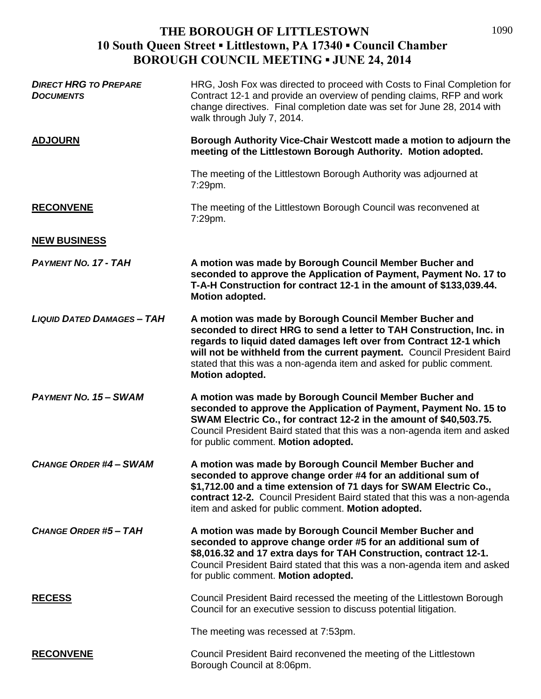| <b>DIRECT HRG TO PREPARE</b><br><b>DOCUMENTS</b> | HRG, Josh Fox was directed to proceed with Costs to Final Completion for<br>Contract 12-1 and provide an overview of pending claims, RFP and work<br>change directives. Final completion date was set for June 28, 2014 with<br>walk through July 7, 2014.                                                                                                                |
|--------------------------------------------------|---------------------------------------------------------------------------------------------------------------------------------------------------------------------------------------------------------------------------------------------------------------------------------------------------------------------------------------------------------------------------|
| <b>ADJOURN</b>                                   | Borough Authority Vice-Chair Westcott made a motion to adjourn the<br>meeting of the Littlestown Borough Authority. Motion adopted.                                                                                                                                                                                                                                       |
|                                                  | The meeting of the Littlestown Borough Authority was adjourned at<br>7:29pm.                                                                                                                                                                                                                                                                                              |
| <b>RECONVENE</b>                                 | The meeting of the Littlestown Borough Council was reconvened at<br>7:29pm.                                                                                                                                                                                                                                                                                               |
| <b>NEW BUSINESS</b>                              |                                                                                                                                                                                                                                                                                                                                                                           |
| <b>PAYMENT NO. 17 - TAH</b>                      | A motion was made by Borough Council Member Bucher and<br>seconded to approve the Application of Payment, Payment No. 17 to<br>T-A-H Construction for contract 12-1 in the amount of \$133,039.44.<br>Motion adopted.                                                                                                                                                     |
| <b>LIQUID DATED DAMAGES - TAH</b>                | A motion was made by Borough Council Member Bucher and<br>seconded to direct HRG to send a letter to TAH Construction, Inc. in<br>regards to liquid dated damages left over from Contract 12-1 which<br>will not be withheld from the current payment. Council President Baird<br>stated that this was a non-agenda item and asked for public comment.<br>Motion adopted. |
| <b>PAYMENT NO. 15 - SWAM</b>                     | A motion was made by Borough Council Member Bucher and<br>seconded to approve the Application of Payment, Payment No. 15 to<br>SWAM Electric Co., for contract 12-2 in the amount of \$40,503.75.<br>Council President Baird stated that this was a non-agenda item and asked<br>for public comment. Motion adopted.                                                      |
| <b>CHANGE ORDER #4- SWAM</b>                     | A motion was made by Borough Council Member Bucher and<br>seconded to approve change order #4 for an additional sum of<br>\$1,712.00 and a time extension of 71 days for SWAM Electric Co.,<br>contract 12-2. Council President Baird stated that this was a non-agenda<br>item and asked for public comment. Motion adopted.                                             |
| <b>CHANGE ORDER #5 - TAH</b>                     | A motion was made by Borough Council Member Bucher and<br>seconded to approve change order #5 for an additional sum of<br>\$8,016.32 and 17 extra days for TAH Construction, contract 12-1.<br>Council President Baird stated that this was a non-agenda item and asked<br>for public comment. Motion adopted.                                                            |
| <b>RECESS</b>                                    | Council President Baird recessed the meeting of the Littlestown Borough<br>Council for an executive session to discuss potential litigation.                                                                                                                                                                                                                              |
|                                                  | The meeting was recessed at 7:53pm.                                                                                                                                                                                                                                                                                                                                       |
| <b>RECONVENE</b>                                 | Council President Baird reconvened the meeting of the Littlestown<br>Borough Council at 8:06pm.                                                                                                                                                                                                                                                                           |